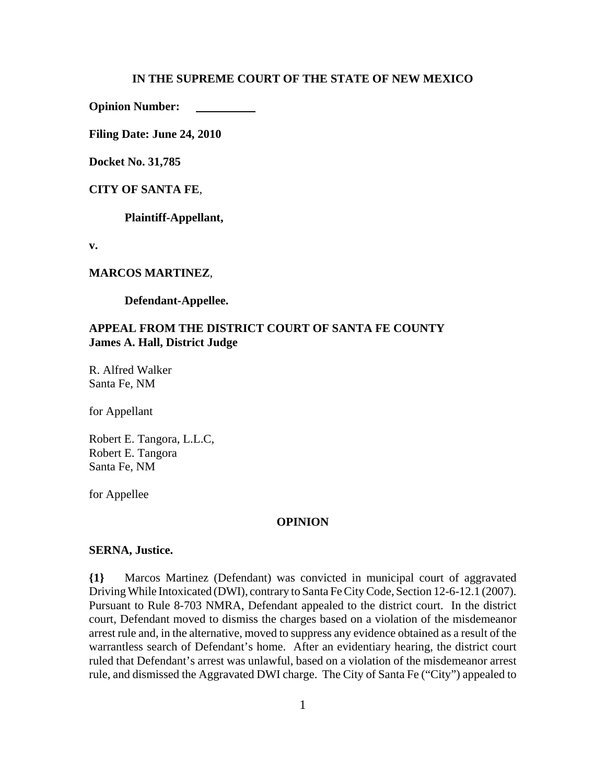#### **IN THE SUPREME COURT OF THE STATE OF NEW MEXICO**

**Opinion Number:** 

**Filing Date: June 24, 2010** 

**Docket No. 31,785**

#### **CITY OF SANTA FE**,

**Plaintiff-Appellant,**

**v.**

#### **MARCOS MARTINEZ**,

**Defendant-Appellee.**

## **APPEAL FROM THE DISTRICT COURT OF SANTA FE COUNTY James A. Hall, District Judge**

R. Alfred Walker Santa Fe, NM

for Appellant

Robert E. Tangora, L.L.C, Robert E. Tangora Santa Fe, NM

for Appellee

#### **OPINION**

### **SERNA, Justice.**

**{1}** Marcos Martinez (Defendant) was convicted in municipal court of aggravated Driving While Intoxicated (DWI), contrary to Santa Fe City Code, Section 12-6-12.1 (2007). Pursuant to Rule 8-703 NMRA, Defendant appealed to the district court. In the district court, Defendant moved to dismiss the charges based on a violation of the misdemeanor arrest rule and, in the alternative, moved to suppress any evidence obtained as a result of the warrantless search of Defendant's home. After an evidentiary hearing, the district court ruled that Defendant's arrest was unlawful, based on a violation of the misdemeanor arrest rule, and dismissed the Aggravated DWI charge. The City of Santa Fe ("City") appealed to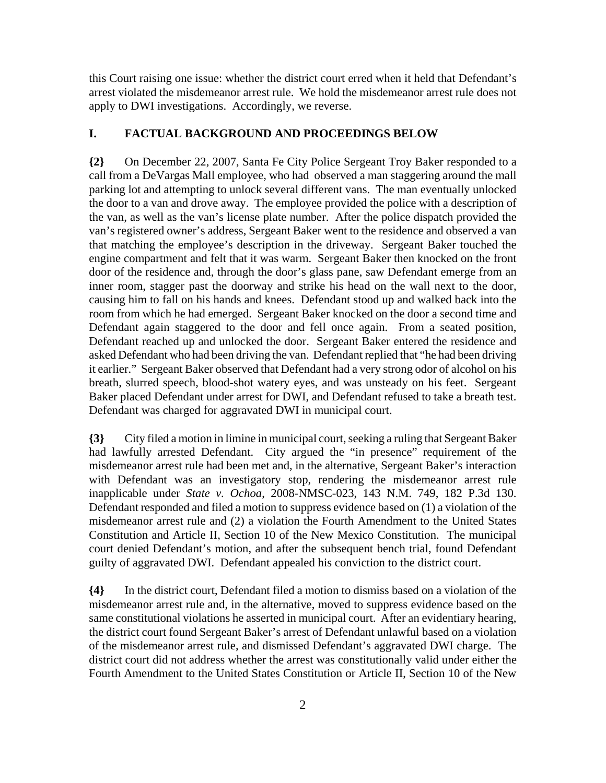this Court raising one issue: whether the district court erred when it held that Defendant's arrest violated the misdemeanor arrest rule. We hold the misdemeanor arrest rule does not apply to DWI investigations. Accordingly, we reverse.

### **I. FACTUAL BACKGROUND AND PROCEEDINGS BELOW**

**{2}** On December 22, 2007, Santa Fe City Police Sergeant Troy Baker responded to a call from a DeVargas Mall employee, who had observed a man staggering around the mall parking lot and attempting to unlock several different vans. The man eventually unlocked the door to a van and drove away. The employee provided the police with a description of the van, as well as the van's license plate number. After the police dispatch provided the van's registered owner's address, Sergeant Baker went to the residence and observed a van that matching the employee's description in the driveway. Sergeant Baker touched the engine compartment and felt that it was warm. Sergeant Baker then knocked on the front door of the residence and, through the door's glass pane, saw Defendant emerge from an inner room, stagger past the doorway and strike his head on the wall next to the door, causing him to fall on his hands and knees. Defendant stood up and walked back into the room from which he had emerged. Sergeant Baker knocked on the door a second time and Defendant again staggered to the door and fell once again. From a seated position, Defendant reached up and unlocked the door. Sergeant Baker entered the residence and asked Defendant who had been driving the van. Defendant replied that "he had been driving it earlier." Sergeant Baker observed that Defendant had a very strong odor of alcohol on his breath, slurred speech, blood-shot watery eyes, and was unsteady on his feet. Sergeant Baker placed Defendant under arrest for DWI, and Defendant refused to take a breath test. Defendant was charged for aggravated DWI in municipal court.

**{3}** City filed a motion in limine in municipal court, seeking a ruling that Sergeant Baker had lawfully arrested Defendant. City argued the "in presence" requirement of the misdemeanor arrest rule had been met and, in the alternative, Sergeant Baker's interaction with Defendant was an investigatory stop, rendering the misdemeanor arrest rule inapplicable under *State v. Ochoa*, 2008-NMSC-023, 143 N.M. 749, 182 P.3d 130. Defendant responded and filed a motion to suppress evidence based on (1) a violation of the misdemeanor arrest rule and (2) a violation the Fourth Amendment to the United States Constitution and Article II, Section 10 of the New Mexico Constitution. The municipal court denied Defendant's motion, and after the subsequent bench trial, found Defendant guilty of aggravated DWI. Defendant appealed his conviction to the district court.

**{4}** In the district court, Defendant filed a motion to dismiss based on a violation of the misdemeanor arrest rule and, in the alternative, moved to suppress evidence based on the same constitutional violations he asserted in municipal court. After an evidentiary hearing, the district court found Sergeant Baker's arrest of Defendant unlawful based on a violation of the misdemeanor arrest rule, and dismissed Defendant's aggravated DWI charge. The district court did not address whether the arrest was constitutionally valid under either the Fourth Amendment to the United States Constitution or Article II, Section 10 of the New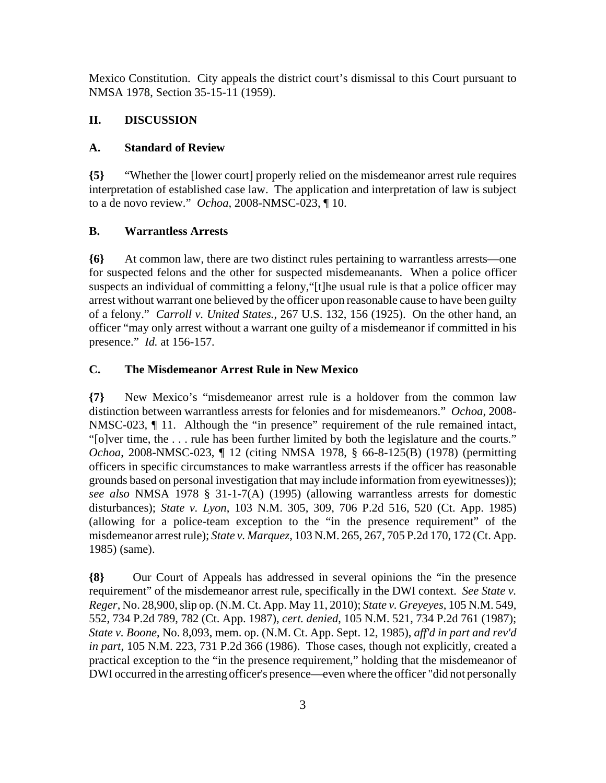Mexico Constitution. City appeals the district court's dismissal to this Court pursuant to NMSA 1978, Section 35-15-11 (1959).

# **II. DISCUSSION**

# **A. Standard of Review**

**{5}** "Whether the [lower court] properly relied on the misdemeanor arrest rule requires interpretation of established case law. The application and interpretation of law is subject to a de novo review." *Ochoa*, 2008-NMSC-023, ¶ 10.

# **B. Warrantless Arrests**

**{6}** At common law, there are two distinct rules pertaining to warrantless arrests—one for suspected felons and the other for suspected misdemeanants. When a police officer suspects an individual of committing a felony,"[t]he usual rule is that a police officer may arrest without warrant one believed by the officer upon reasonable cause to have been guilty of a felony." *Carroll v. United States.*, 267 U.S. 132, 156 (1925). On the other hand, an officer "may only arrest without a warrant one guilty of a misdemeanor if committed in his presence." *Id.* at 156-157*.*

# **C. The Misdemeanor Arrest Rule in New Mexico**

**{7}** New Mexico's "misdemeanor arrest rule is a holdover from the common law distinction between warrantless arrests for felonies and for misdemeanors." *Ochoa*, 2008- NMSC-023,  $\P$  11. Although the "in presence" requirement of the rule remained intact, "[o]ver time, the . . . rule has been further limited by both the legislature and the courts." *Ochoa*, 2008-NMSC-023, ¶ 12 (citing NMSA 1978, § 66-8-125(B) (1978) (permitting officers in specific circumstances to make warrantless arrests if the officer has reasonable grounds based on personal investigation that may include information from eyewitnesses)); *see also* NMSA 1978 § 31-1-7(A) (1995) (allowing warrantless arrests for domestic disturbances); *State v. Lyon*, 103 N.M. 305, 309, 706 P.2d 516, 520 (Ct. App. 1985) (allowing for a police-team exception to the "in the presence requirement" of the misdemeanor arrest rule); *State v. Marquez*, 103 N.M. 265, 267, 705 P.2d 170, 172 (Ct. App. 1985) (same).

**{8}** Our Court of Appeals has addressed in several opinions the "in the presence requirement" of the misdemeanor arrest rule, specifically in the DWI context. *See State v. Reger*, No. 28,900, slip op. (N.M. Ct. App. May 11, 2010); *State v. Greyeyes*, 105 N.M. 549, 552, 734 P.2d 789, 782 (Ct. App. 1987), *cert. denied*, 105 N.M. 521, 734 P.2d 761 (1987); *State v. Boone*, No. 8,093, mem. op. (N.M. Ct. App. Sept. 12, 1985), *aff'd in part and rev'd in part*, 105 N.M. 223, 731 P.2d 366 (1986). Those cases, though not explicitly, created a practical exception to the "in the presence requirement," holding that the misdemeanor of DWI occurred in the arresting officer's presence—even where the officer "did not personally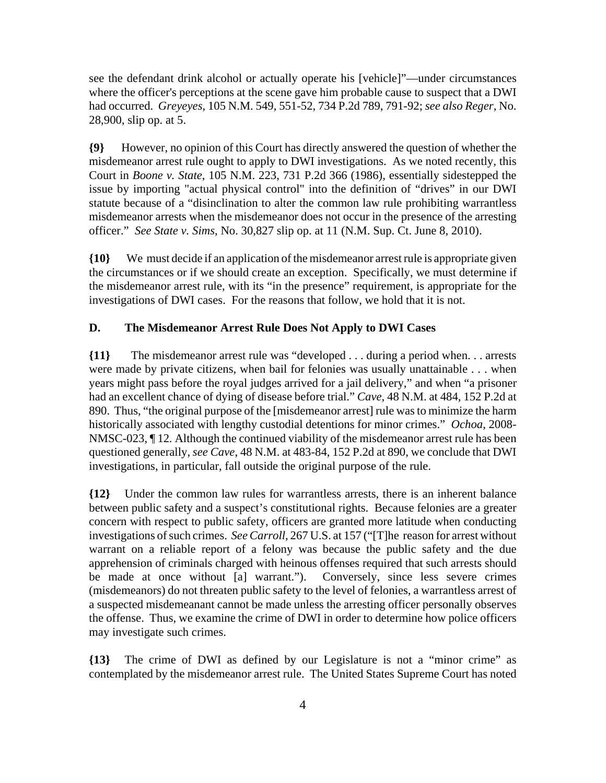see the defendant drink alcohol or actually operate his [vehicle]"—under circumstances where the officer's perceptions at the scene gave him probable cause to suspect that a DWI had occurred. *Greyeyes*, 105 N.M. 549, 551-52, 734 P.2d 789, 791-92; *see also Reger*, No. 28,900, slip op. at 5.

**{9}** However, no opinion of this Court has directly answered the question of whether the misdemeanor arrest rule ought to apply to DWI investigations. As we noted recently, this Court in *Boone v. State*, 105 N.M. 223, 731 P.2d 366 (1986), essentially sidestepped the issue by importing "actual physical control" into the definition of "drives" in our DWI statute because of a "disinclination to alter the common law rule prohibiting warrantless misdemeanor arrests when the misdemeanor does not occur in the presence of the arresting officer." *See State v. Sims*, No. 30,827 slip op. at 11 (N.M. Sup. Ct. June 8, 2010).

**{10}** We must decide if an application of the misdemeanor arrest rule is appropriate given the circumstances or if we should create an exception. Specifically, we must determine if the misdemeanor arrest rule, with its "in the presence" requirement, is appropriate for the investigations of DWI cases. For the reasons that follow, we hold that it is not.

### **D. The Misdemeanor Arrest Rule Does Not Apply to DWI Cases**

**{11}** The misdemeanor arrest rule was "developed . . . during a period when. . . arrests were made by private citizens, when bail for felonies was usually unattainable . . . when years might pass before the royal judges arrived for a jail delivery," and when "a prisoner had an excellent chance of dying of disease before trial." *Cave*, 48 N.M. at 484, 152 P.2d at 890. Thus, "the original purpose of the [misdemeanor arrest] rule was to minimize the harm historically associated with lengthy custodial detentions for minor crimes." *Ochoa*, 2008- NMSC-023, ¶ 12*.* Although the continued viability of the misdemeanor arrest rule has been questioned generally, *see Cave*, 48 N.M. at 483-84, 152 P.2d at 890, we conclude that DWI investigations, in particular, fall outside the original purpose of the rule.

**{12}** Under the common law rules for warrantless arrests, there is an inherent balance between public safety and a suspect's constitutional rights. Because felonies are a greater concern with respect to public safety, officers are granted more latitude when conducting investigations of such crimes. *See Carroll*, 267 U.S. at 157 ("[T]he reason for arrest without warrant on a reliable report of a felony was because the public safety and the due apprehension of criminals charged with heinous offenses required that such arrests should be made at once without [a] warrant."). Conversely, since less severe crimes (misdemeanors) do not threaten public safety to the level of felonies, a warrantless arrest of a suspected misdemeanant cannot be made unless the arresting officer personally observes the offense. Thus, we examine the crime of DWI in order to determine how police officers may investigate such crimes.

**{13}** The crime of DWI as defined by our Legislature is not a "minor crime" as contemplated by the misdemeanor arrest rule. The United States Supreme Court has noted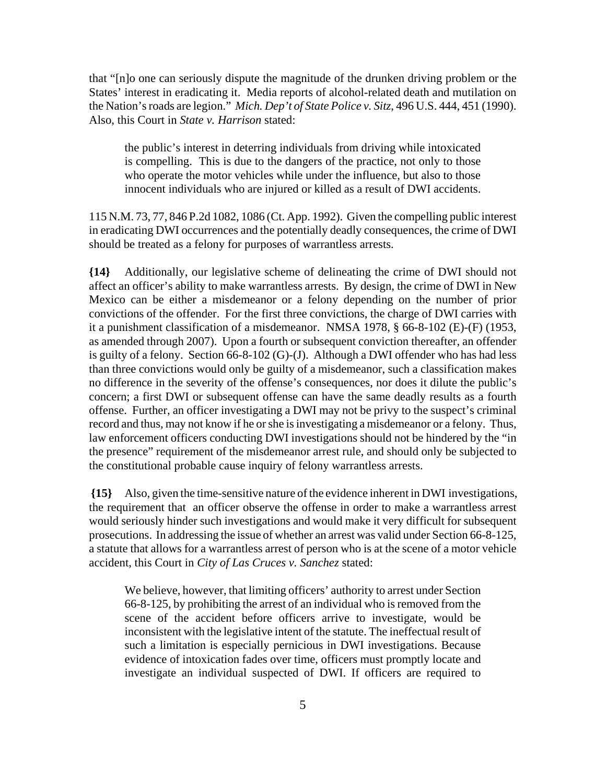that "[n]o one can seriously dispute the magnitude of the drunken driving problem or the States' interest in eradicating it. Media reports of alcohol-related death and mutilation on the Nation's roads are legion." *Mich. Dep't of State Police v. Sitz*, 496 U.S. 444, 451 (1990). Also, this Court in *State v. Harrison* stated:

the public's interest in deterring individuals from driving while intoxicated is compelling. This is due to the dangers of the practice, not only to those who operate the motor vehicles while under the influence, but also to those innocent individuals who are injured or killed as a result of DWI accidents.

115 N.M. 73, 77, 846 P.2d 1082, 1086 (Ct. App. 1992). Given the compelling public interest in eradicating DWI occurrences and the potentially deadly consequences, the crime of DWI should be treated as a felony for purposes of warrantless arrests.

**{14}** Additionally, our legislative scheme of delineating the crime of DWI should not affect an officer's ability to make warrantless arrests. By design, the crime of DWI in New Mexico can be either a misdemeanor or a felony depending on the number of prior convictions of the offender. For the first three convictions, the charge of DWI carries with it a punishment classification of a misdemeanor. NMSA 1978, § 66-8-102 (E)-(F) (1953, as amended through 2007). Upon a fourth or subsequent conviction thereafter, an offender is guilty of a felony. Section 66-8-102 (G)-(J). Although a DWI offender who has had less than three convictions would only be guilty of a misdemeanor, such a classification makes no difference in the severity of the offense's consequences, nor does it dilute the public's concern; a first DWI or subsequent offense can have the same deadly results as a fourth offense. Further, an officer investigating a DWI may not be privy to the suspect's criminal record and thus, may not know if he or she is investigating a misdemeanor or a felony. Thus, law enforcement officers conducting DWI investigations should not be hindered by the "in the presence" requirement of the misdemeanor arrest rule, and should only be subjected to the constitutional probable cause inquiry of felony warrantless arrests.

**{15}** Also, given the time-sensitive nature of the evidence inherent in DWI investigations, the requirement that an officer observe the offense in order to make a warrantless arrest would seriously hinder such investigations and would make it very difficult for subsequent prosecutions. In addressing the issue of whether an arrest was valid under Section 66-8-125, a statute that allows for a warrantless arrest of person who is at the scene of a motor vehicle accident, this Court in *City of Las Cruces v. Sanchez* stated:

We believe, however, that limiting officers' authority to arrest under Section 66-8-125, by prohibiting the arrest of an individual who is removed from the scene of the accident before officers arrive to investigate, would be inconsistent with the legislative intent of the statute. The ineffectual result of such a limitation is especially pernicious in DWI investigations. Because evidence of intoxication fades over time, officers must promptly locate and investigate an individual suspected of DWI. If officers are required to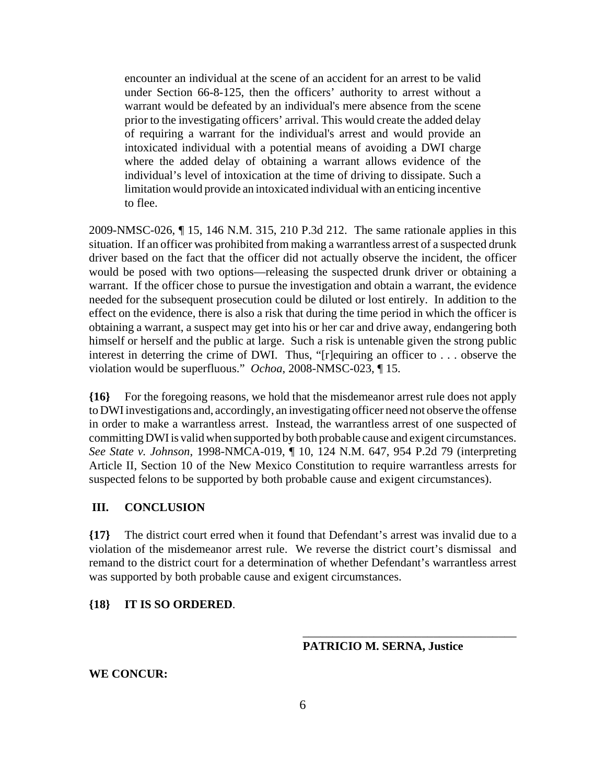encounter an individual at the scene of an accident for an arrest to be valid under Section 66-8-125, then the officers' authority to arrest without a warrant would be defeated by an individual's mere absence from the scene prior to the investigating officers' arrival. This would create the added delay of requiring a warrant for the individual's arrest and would provide an intoxicated individual with a potential means of avoiding a DWI charge where the added delay of obtaining a warrant allows evidence of the individual's level of intoxication at the time of driving to dissipate. Such a limitation would provide an intoxicated individual with an enticing incentive to flee.

2009-NMSC-026, ¶ 15, 146 N.M. 315, 210 P.3d 212. The same rationale applies in this situation. If an officer was prohibited from making a warrantless arrest of a suspected drunk driver based on the fact that the officer did not actually observe the incident, the officer would be posed with two options—releasing the suspected drunk driver or obtaining a warrant. If the officer chose to pursue the investigation and obtain a warrant, the evidence needed for the subsequent prosecution could be diluted or lost entirely. In addition to the effect on the evidence, there is also a risk that during the time period in which the officer is obtaining a warrant, a suspect may get into his or her car and drive away, endangering both himself or herself and the public at large. Such a risk is untenable given the strong public interest in deterring the crime of DWI. Thus, "[r]equiring an officer to . . . observe the violation would be superfluous." *Ochoa*, 2008-NMSC-023, ¶ 15.

**{16}** For the foregoing reasons, we hold that the misdemeanor arrest rule does not apply to DWI investigations and, accordingly, an investigating officer need not observe the offense in order to make a warrantless arrest. Instead, the warrantless arrest of one suspected of committing DWI is valid when supported by both probable cause and exigent circumstances. *See State v. Johnson*, 1998-NMCA-019, ¶ 10, 124 N.M. 647, 954 P.2d 79 (interpreting Article II, Section 10 of the New Mexico Constitution to require warrantless arrests for suspected felons to be supported by both probable cause and exigent circumstances).

### **III. CONCLUSION**

**{17}** The district court erred when it found that Defendant's arrest was invalid due to a violation of the misdemeanor arrest rule. We reverse the district court's dismissal and remand to the district court for a determination of whether Defendant's warrantless arrest was supported by both probable cause and exigent circumstances.

### **{18} IT IS SO ORDERED**.

#### **PATRICIO M. SERNA, Justice**

\_\_\_\_\_\_\_\_\_\_\_\_\_\_\_\_\_\_\_\_\_\_\_\_\_\_\_\_\_\_\_\_\_\_\_\_

**WE CONCUR:**